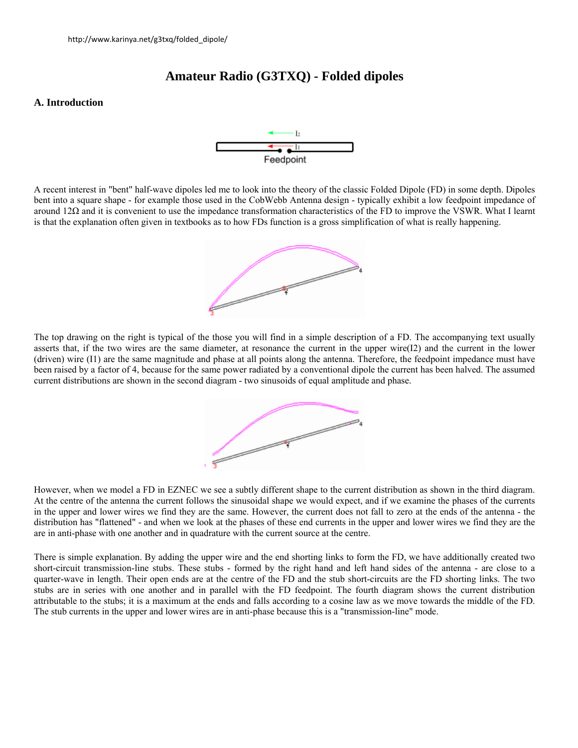# **Amateur Radio (G3TXQ) - Folded dipoles**

### **A. Introduction**



A recent interest in "bent" half-wave dipoles led me to look into the theory of the classic Folded Dipole (FD) in some depth. Dipoles bent into a square shape - for example those used in the CobWebb Antenna design - typically exhibit a low feedpoint impedance of around  $12\Omega$  and it is convenient to use the impedance transformation characteristics of the FD to improve the VSWR. What I learnt is that the explanation often given in textbooks as to how FDs function is a gross simplification of what is really happening.



The top drawing on the right is typical of the those you will find in a simple description of a FD. The accompanying text usually asserts that, if the two wires are the same diameter, at resonance the current in the upper wire(I2) and the current in the lower (driven) wire (I1) are the same magnitude and phase at all points along the antenna. Therefore, the feedpoint impedance must have been raised by a factor of 4, because for the same power radiated by a conventional dipole the current has been halved. The assumed current distributions are shown in the second diagram - two sinusoids of equal amplitude and phase.



However, when we model a FD in EZNEC we see a subtly different shape to the current distribution as shown in the third diagram. At the centre of the antenna the current follows the sinusoidal shape we would expect, and if we examine the phases of the currents in the upper and lower wires we find they are the same. However, the current does not fall to zero at the ends of the antenna - the distribution has "flattened" - and when we look at the phases of these end currents in the upper and lower wires we find they are the are in anti-phase with one another and in quadrature with the current source at the centre.

There is simple explanation. By adding the upper wire and the end shorting links to form the FD, we have additionally created two short-circuit transmission-line stubs. These stubs - formed by the right hand and left hand sides of the antenna - are close to a quarter-wave in length. Their open ends are at the centre of the FD and the stub short-circuits are the FD shorting links. The two stubs are in series with one another and in parallel with the FD feedpoint. The fourth diagram shows the current distribution attributable to the stubs; it is a maximum at the ends and falls according to a cosine law as we move towards the middle of the FD. The stub currents in the upper and lower wires are in anti-phase because this is a "transmission-line" mode.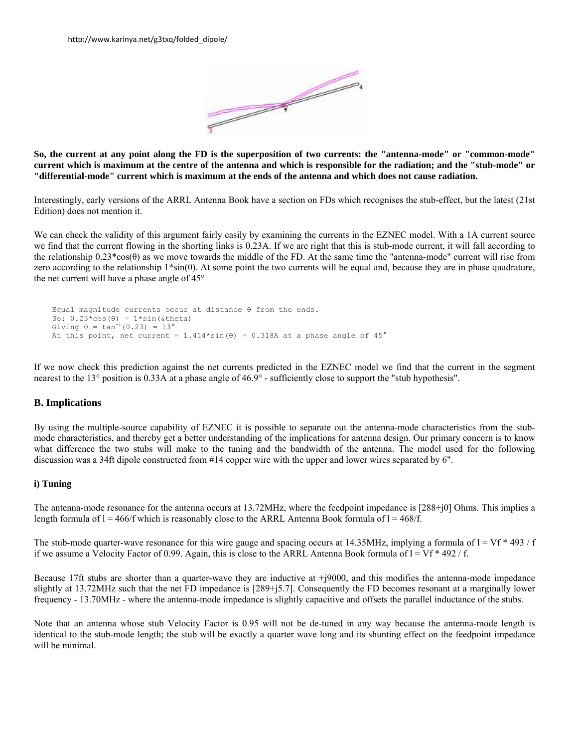

**So, the current at any point along the FD is the superposition of two currents: the "antenna-mode" or "common-mode" current which is maximum at the centre of the antenna and which is responsible for the radiation; and the "stub-mode" or "differential-mode" current which is maximum at the ends of the antenna and which does not cause radiation.**

Interestingly, early versions of the ARRL Antenna Book have a section on FDs which recognises the stub-effect, but the latest (21st Edition) does not mention it.

We can check the validity of this argument fairly easily by examining the currents in the EZNEC model. With a 1A current source we find that the current flowing in the shorting links is 0.23A. If we are right that this is stub-mode current, it will fall according to the relationship  $0.23*cos(\theta)$  as we move towards the middle of the FD. At the same time the "antenna-mode" current will rise from zero according to the relationship 1\*sin(θ). At some point the two currents will be equal and, because they are in phase quadrature, the net current will have a phase angle of 45°

```
 Equal magnitude currents occur at distance θ from the ends. 
So: 0.23*cos(\theta) = 1*sin(\theta)Giving \theta = \tan^{-1}(0.23) = 13^{\circ}At this point, net current = 1.414*sin(\theta) = 0.318A at a phase angle of 45°
```
If we now check this prediction against the net currents predicted in the EZNEC model we find that the current in the segment nearest to the 13° position is 0.33A at a phase angle of 46.9° - sufficiently close to support the "stub hypothesis".

## **B. Implications**

By using the multiple-source capability of EZNEC it is possible to separate out the antenna-mode characteristics from the stubmode characteristics, and thereby get a better understanding of the implications for antenna design. Our primary concern is to know what difference the two stubs will make to the tuning and the bandwidth of the antenna. The model used for the following discussion was a 34ft dipole constructed from #14 copper wire with the upper and lower wires separated by 6".

#### **i) Tuning**

The antenna-mode resonance for the antenna occurs at 13.72MHz, where the feedpoint impedance is [288+j0] Ohms. This implies a length formula of  $l = 466/f$  which is reasonably close to the ARRL Antenna Book formula of  $l = 468/f$ .

The stub-mode quarter-wave resonance for this wire gauge and spacing occurs at 14.35MHz, implying a formula of  $I = Vf * 493 / f$ if we assume a Velocity Factor of 0.99. Again, this is close to the ARRL Antenna Book formula of  $l = Vf * 492 / f$ .

Because 17ft stubs are shorter than a quarter-wave they are inductive at +j9000, and this modifies the antenna-mode impedance slightly at 13.72MHz such that the net FD impedance is [289+j5.7]. Consequently the FD becomes resonant at a marginally lower frequency - 13.70MHz - where the antenna-mode impedance is slightly capacitive and offsets the parallel inductance of the stubs.

Note that an antenna whose stub Velocity Factor is 0.95 will not be de-tuned in any way because the antenna-mode length is identical to the stub-mode length; the stub will be exactly a quarter wave long and its shunting effect on the feedpoint impedance will be minimal.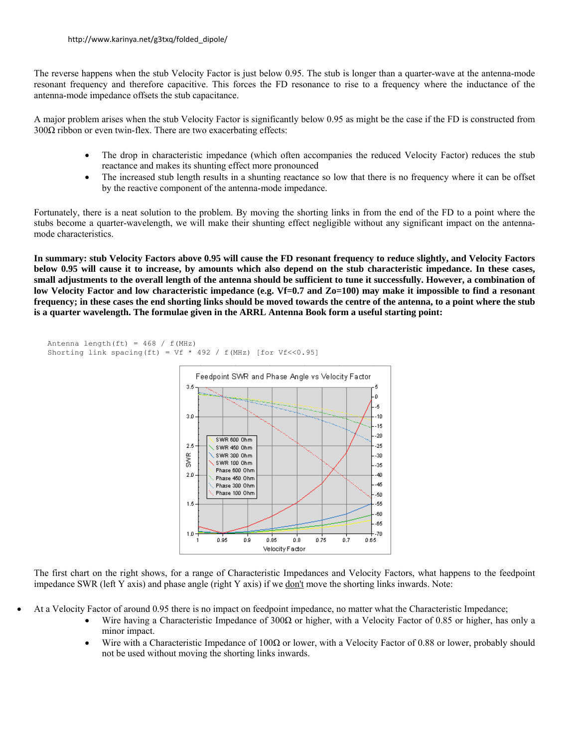The reverse happens when the stub Velocity Factor is just below 0.95. The stub is longer than a quarter-wave at the antenna-mode resonant frequency and therefore capacitive. This forces the FD resonance to rise to a frequency where the inductance of the antenna-mode impedance offsets the stub capacitance.

A major problem arises when the stub Velocity Factor is significantly below 0.95 as might be the case if the FD is constructed from  $300\Omega$  ribbon or even twin-flex. There are two exacerbating effects:

- The drop in characteristic impedance (which often accompanies the reduced Velocity Factor) reduces the stub reactance and makes its shunting effect more pronounced
- The increased stub length results in a shunting reactance so low that there is no frequency where it can be offset by the reactive component of the antenna-mode impedance.

Fortunately, there is a neat solution to the problem. By moving the shorting links in from the end of the FD to a point where the stubs become a quarter-wavelength, we will make their shunting effect negligible without any significant impact on the antennamode characteristics.

**In summary: stub Velocity Factors above 0.95 will cause the FD resonant frequency to reduce slightly, and Velocity Factors below 0.95 will cause it to increase, by amounts which also depend on the stub characteristic impedance. In these cases, small adjustments to the overall length of the antenna should be sufficient to tune it successfully. However, a combination of low Velocity Factor and low characteristic impedance (e.g. Vf=0.7 and Zo=100) may make it impossible to find a resonant frequency; in these cases the end shorting links should be moved towards the centre of the antenna, to a point where the stub is a quarter wavelength. The formulae given in the ARRL Antenna Book form a useful starting point:** 



The first chart on the right shows, for a range of Characteristic Impedances and Velocity Factors, what happens to the feedpoint impedance SWR (left Y axis) and phase angle (right Y axis) if we don't move the shorting links inwards. Note:

- At a Velocity Factor of around 0.95 there is no impact on feedpoint impedance, no matter what the Characteristic Impedance;
	- Wire having a Characteristic Impedance of 300Ω or higher, with a Velocity Factor of 0.85 or higher, has only a minor impact.
	- Wire with a Characteristic Impedance of 100 $\Omega$  or lower, with a Velocity Factor of 0.88 or lower, probably should not be used without moving the shorting links inwards.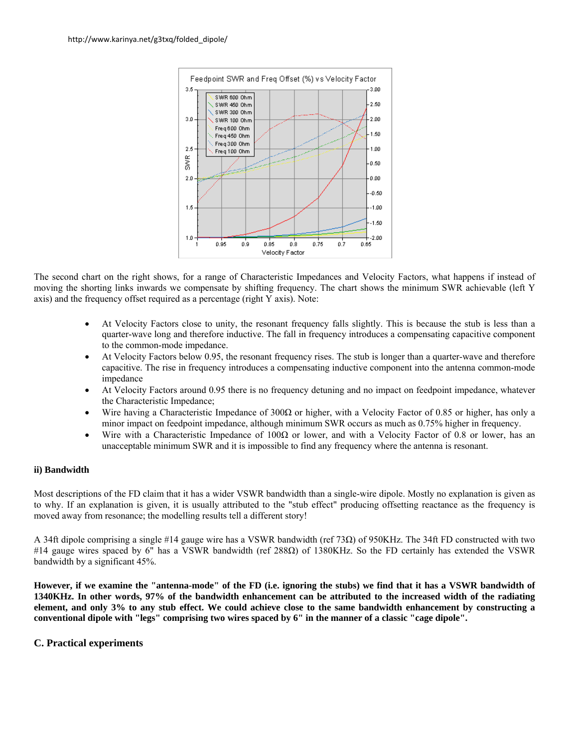

The second chart on the right shows, for a range of Characteristic Impedances and Velocity Factors, what happens if instead of moving the shorting links inwards we compensate by shifting frequency. The chart shows the minimum SWR achievable (left Y axis) and the frequency offset required as a percentage (right Y axis). Note:

- At Velocity Factors close to unity, the resonant frequency falls slightly. This is because the stub is less than a quarter-wave long and therefore inductive. The fall in frequency introduces a compensating capacitive component to the common-mode impedance.
- At Velocity Factors below 0.95, the resonant frequency rises. The stub is longer than a quarter-wave and therefore capacitive. The rise in frequency introduces a compensating inductive component into the antenna common-mode impedance
- At Velocity Factors around 0.95 there is no frequency detuning and no impact on feedpoint impedance, whatever the Characteristic Impedance;
- Wire having a Characteristic Impedance of 300 $\Omega$  or higher, with a Velocity Factor of 0.85 or higher, has only a minor impact on feedpoint impedance, although minimum SWR occurs as much as 0.75% higher in frequency.
- Wire with a Characteristic Impedance of 100 $\Omega$  or lower, and with a Velocity Factor of 0.8 or lower, has an unacceptable minimum SWR and it is impossible to find any frequency where the antenna is resonant.

# **ii) Bandwidth**

Most descriptions of the FD claim that it has a wider VSWR bandwidth than a single-wire dipole. Mostly no explanation is given as to why. If an explanation is given, it is usually attributed to the "stub effect" producing offsetting reactance as the frequency is moved away from resonance; the modelling results tell a different story!

A 34ft dipole comprising a single #14 gauge wire has a VSWR bandwidth (ref 73Ω) of 950KHz. The 34ft FD constructed with two #14 gauge wires spaced by 6" has a VSWR bandwidth (ref 288Ω) of 1380KHz. So the FD certainly has extended the VSWR bandwidth by a significant 45%.

**However, if we examine the "antenna-mode" of the FD (i.e. ignoring the stubs) we find that it has a VSWR bandwidth of 1340KHz. In other words, 97% of the bandwidth enhancement can be attributed to the increased width of the radiating element, and only 3% to any stub effect. We could achieve close to the same bandwidth enhancement by constructing a conventional dipole with "legs" comprising two wires spaced by 6" in the manner of a classic "cage dipole".**

# **C. Practical experiments**